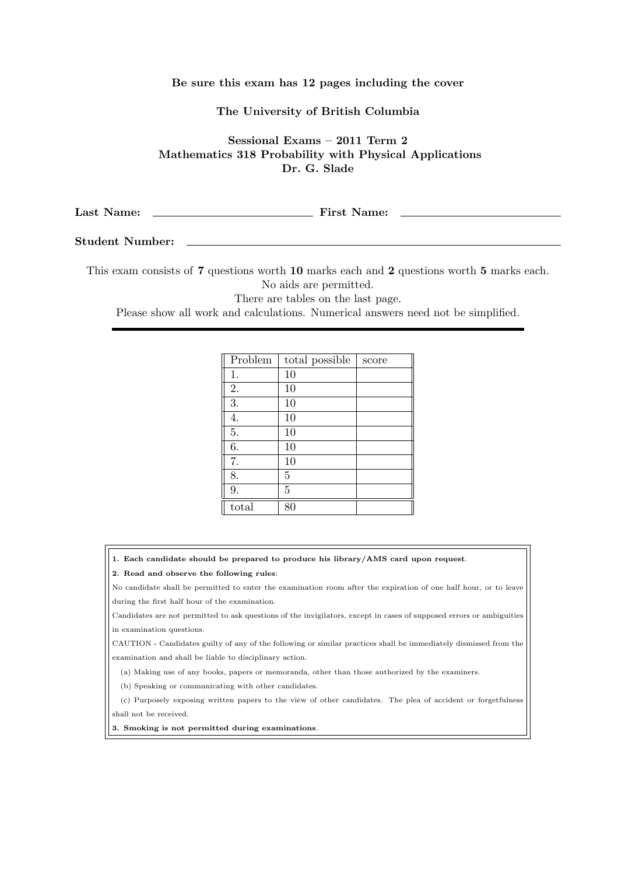## Be sure this exam has 12 pages including the cover

## The University of British Columbia

Sessional Exams – 2011 Term 2 Mathematics 318 Probability with Physical Applications Dr. G. Slade

| Last Name: | <b>First Name:</b> |
|------------|--------------------|
|            |                    |

## Student Number:

This exam consists of 7 questions worth 10 marks each and 2 questions worth 5 marks each. No aids are permitted.

There are tables on the last page.

Please show all work and calculations. Numerical answers need not be simplified.

| Problem | total possible | score |
|---------|----------------|-------|
| 1.      | 10             |       |
| 2.      | 10             |       |
| 3.      | 10             |       |
| 4.      | 10             |       |
| 5.      | 10             |       |
| 6.      | 10             |       |
| 7.      | 10             |       |
| 8.      | 5              |       |
| 9.      | 5              |       |
| total   | 80             |       |

1. Each candidate should be prepared to produce his library/AMS card upon request.

2. Read and observe the following rules:

No candidate shall be permitted to enter the examination room after the expiration of one half hour, or to leave during the first half hour of the examination.

Candidates are not permitted to ask questions of the invigilators, except in cases of supposed errors or ambiguities in examination questions.

CAUTION - Candidates guilty of any of the following or similar practices shall be immediately dismissed from the examination and shall be liable to disciplinary action.

(a) Making use of any books, papers or memoranda, other than those authorized by the examiners.

(b) Speaking or communicating with other candidates.

(c) Purposely exposing written papers to the view of other candidates. The plea of accident or forgetfulness shall not be received.

3. Smoking is not permitted during examinations.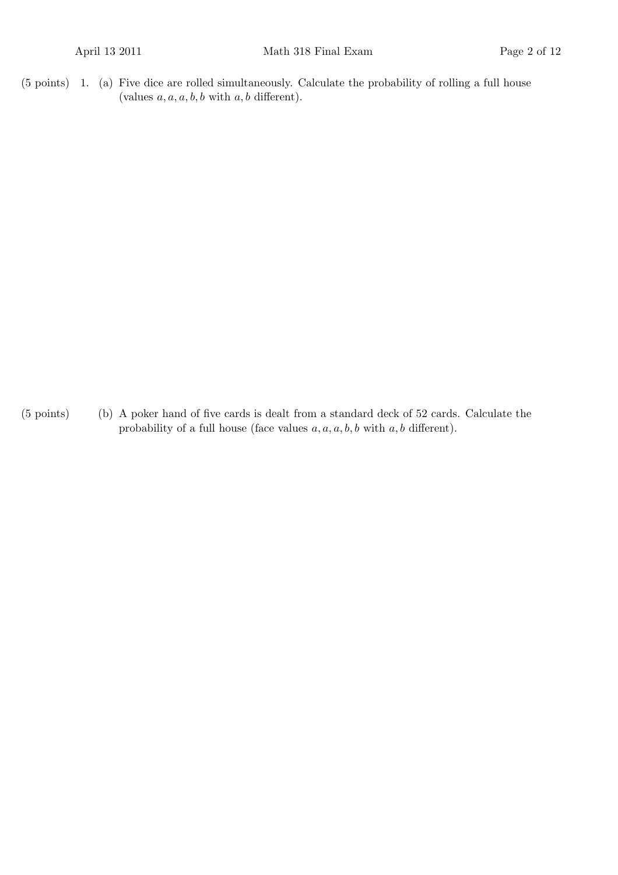$(5 \text{ points})$  1. (a) Five dice are rolled simultaneously. Calculate the probability of rolling a full house (values  $a, a, a, b, b$  with  $a, b$  different).

(b)(5 points) A poker hand of five cards is dealt from a standard deck of 52 cards. Calculate the probability of a full house (face values  $a, a, a, b, b$  with  $a, b$  different).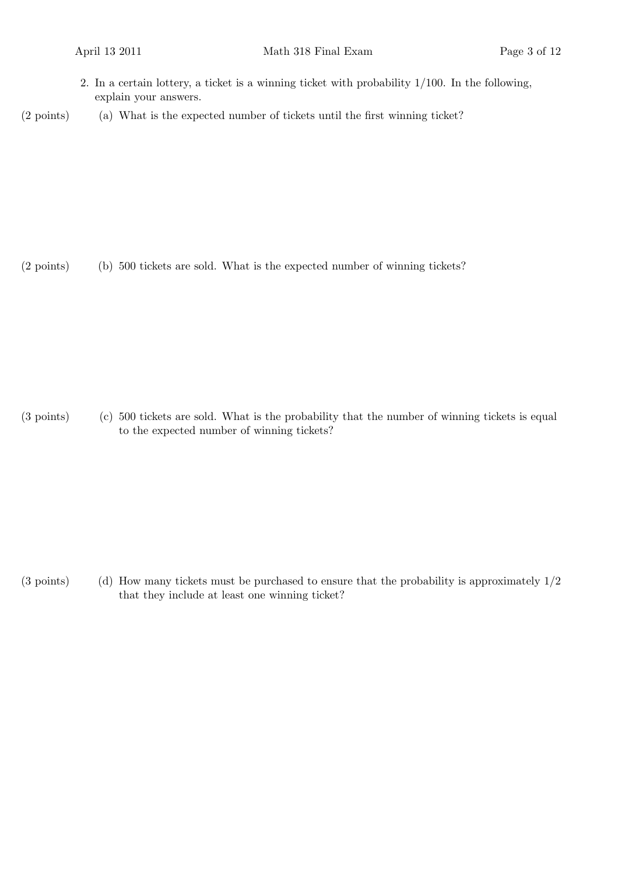- 2. In a certain lottery, a ticket is a winning ticket with probability 1/100. In the following, explain your answers.
- (2 points) (a) What is the expected number of tickets until the first winning ticket?

(2 points) (b) 500 tickets are sold. What is the expected number of winning tickets?

(c)(3 points) 500 tickets are sold. What is the probability that the number of winning tickets is equal to the expected number of winning tickets?

(3 points) (d) How many tickets must be purchased to ensure that the probability is approximately  $1/2$ that they include at least one winning ticket?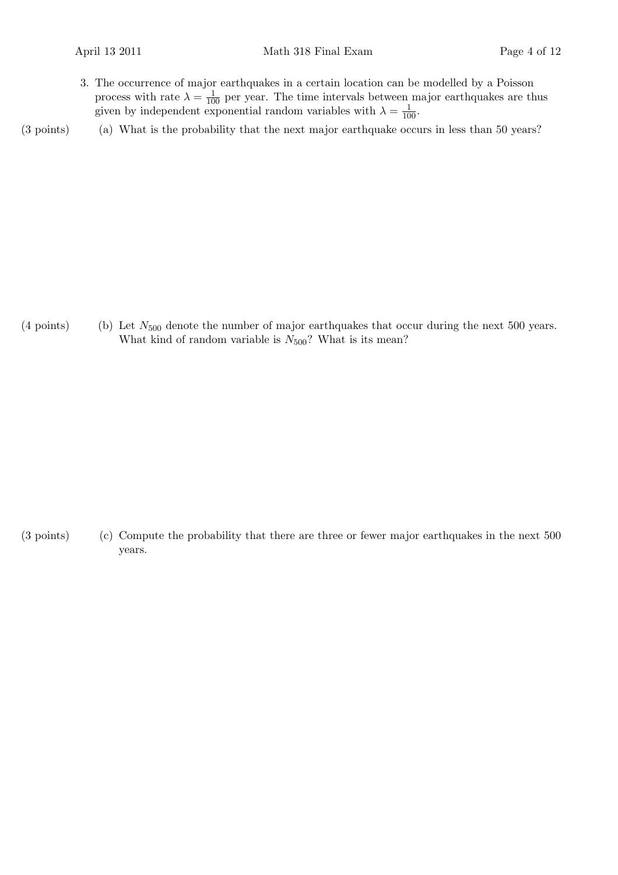3. The occurrence of major earthquakes in a certain location can be modelled by a Poisson process with rate  $\lambda = \frac{1}{100}$  per year. The time intervals between major earthquakes are thus given by independent exponential random variables with  $\lambda = \frac{1}{100}$ .

(3 points) (a) What is the probability that the next major earthquake occurs in less than 50 years?

(4 points) (b) Let  $N_{500}$  denote the number of major earthquakes that occur during the next 500 years. What kind of random variable is  $N_{500}$ ? What is its mean?

(3 points) (c) Compute the probability that there are three or fewer major earthquakes in the next 500 years.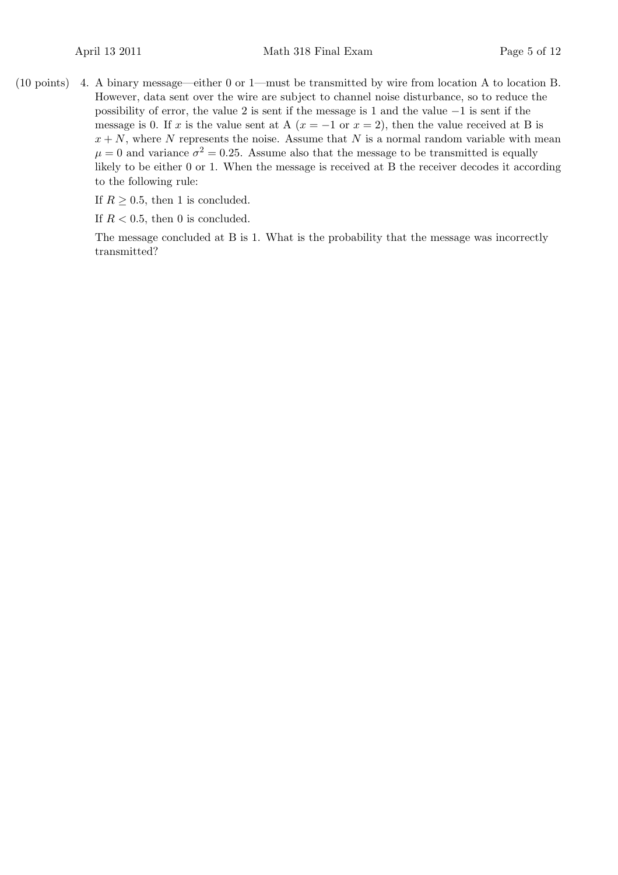4.(10 points) A binary message—either 0 or 1—must be transmitted by wire from location A to location B. However, data sent over the wire are subject to channel noise disturbance, so to reduce the possibility of error, the value 2 is sent if the message is 1 and the value −1 is sent if the message is 0. If x is the value sent at A  $(x = -1 \text{ or } x = 2)$ , then the value received at B is  $x + N$ , where N represents the noise. Assume that N is a normal random variable with mean  $\mu = 0$  and variance  $\sigma^2 = 0.25$ . Assume also that the message to be transmitted is equally likely to be either 0 or 1. When the message is received at B the receiver decodes it according to the following rule:

If  $R \geq 0.5$ , then 1 is concluded.

If  $R < 0.5$ , then 0 is concluded.

The message concluded at B is 1. What is the probability that the message was incorrectly transmitted?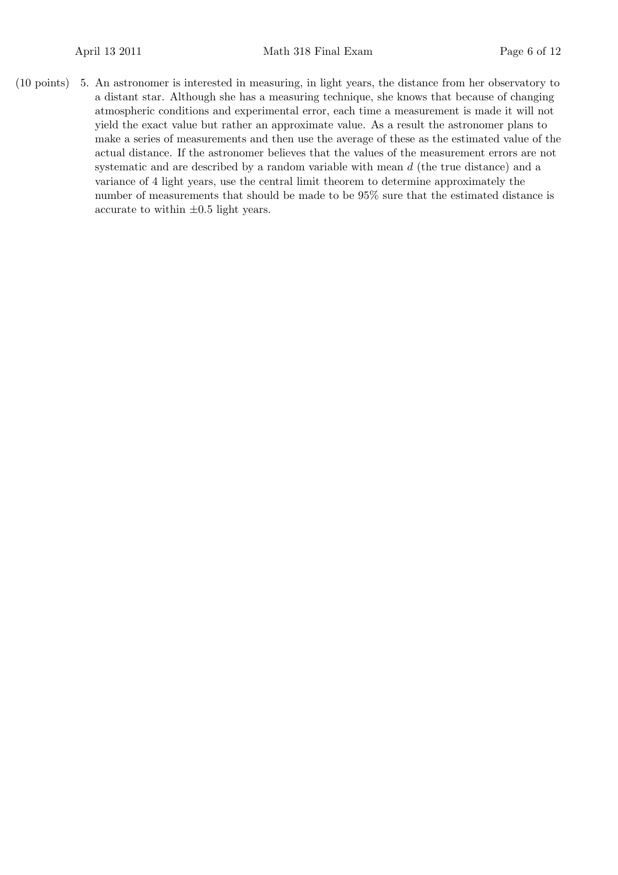5.(10 points) An astronomer is interested in measuring, in light years, the distance from her observatory to a distant star. Although she has a measuring technique, she knows that because of changing atmospheric conditions and experimental error, each time a measurement is made it will not yield the exact value but rather an approximate value. As a result the astronomer plans to make a series of measurements and then use the average of these as the estimated value of the actual distance. If the astronomer believes that the values of the measurement errors are not systematic and are described by a random variable with mean d (the true distance) and a variance of 4 light years, use the central limit theorem to determine approximately the number of measurements that should be made to be 95% sure that the estimated distance is accurate to within  $\pm 0.5$  light years.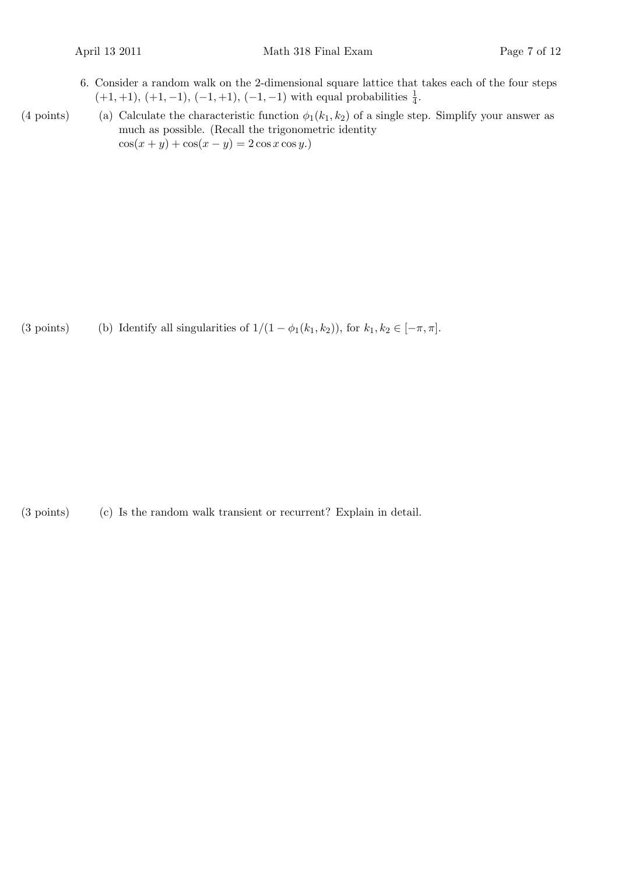6. Consider a random walk on the 2-dimensional square lattice that takes each of the four steps  $(+1,+1), (+1,-1), (-1,+1), (-1,-1)$  with equal probabilities  $\frac{1}{4}$ .

(4 points) (a) Calculate the characteristic function  $\phi_1(k_1, k_2)$  of a single step. Simplify your answer as much as possible. (Recall the trigonometric identity  $\cos(x+y) + \cos(x-y) = 2 \cos x \cos y.$ 

(3 points) (b) Identify all singularities of  $1/(1 - \phi_1(k_1, k_2))$ , for  $k_1, k_2 \in [-\pi, \pi]$ .

 $(3 \text{ points})$   $(c)$  Is the random walk transient or recurrent? Explain in detail.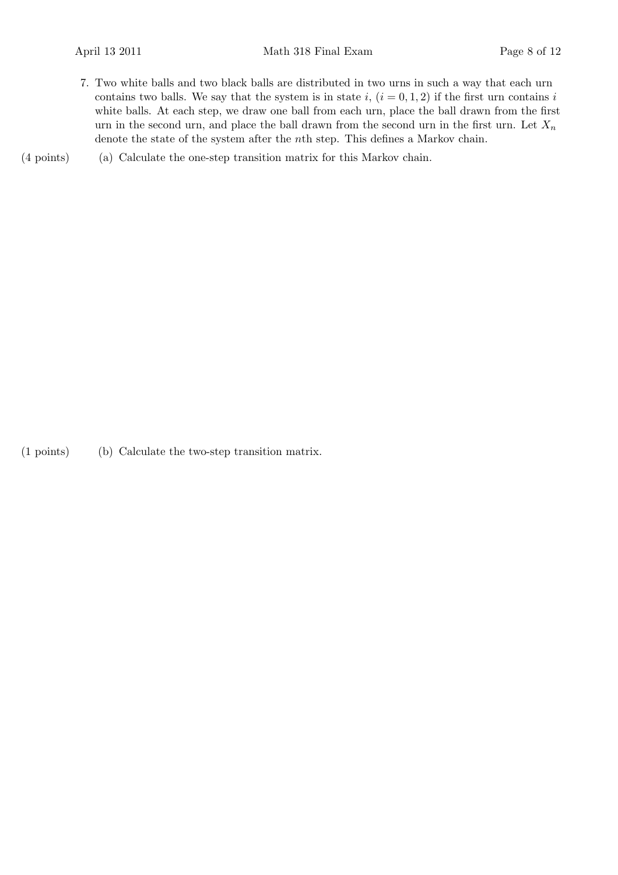- 7. Two white balls and two black balls are distributed in two urns in such a way that each urn contains two balls. We say that the system is in state i,  $(i = 0, 1, 2)$  if the first urn contains i white balls. At each step, we draw one ball from each urn, place the ball drawn from the first urn in the second urn, and place the ball drawn from the second urn in the first urn. Let  $X_n$ denote the state of the system after the nth step. This defines a Markov chain.
- (a)(4 points) Calculate the one-step transition matrix for this Markov chain.

(b)(1 points) Calculate the two-step transition matrix.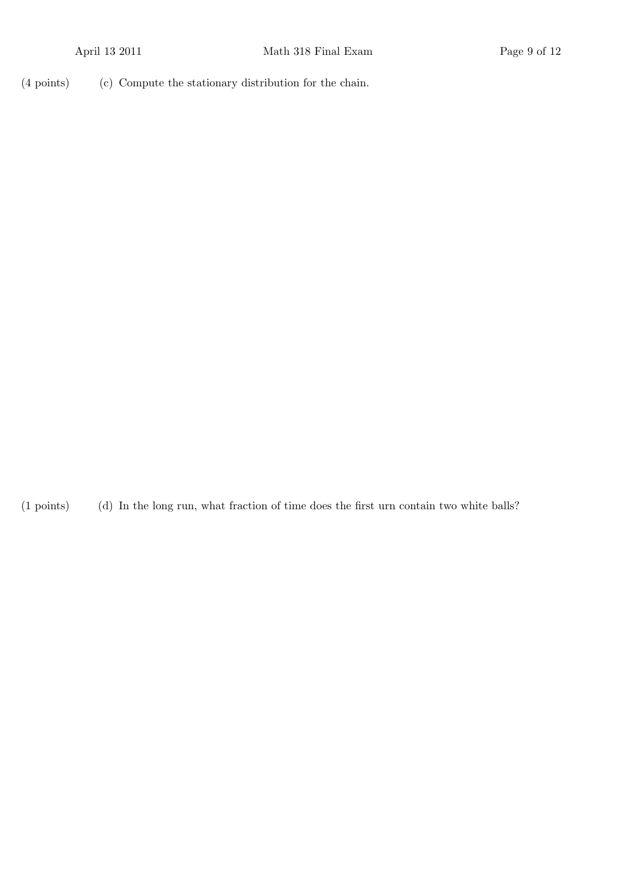(4 points) (c) Compute the stationary distribution for the chain.

(1 points) (d) In the long run, what fraction of time does the first urn contain two white balls?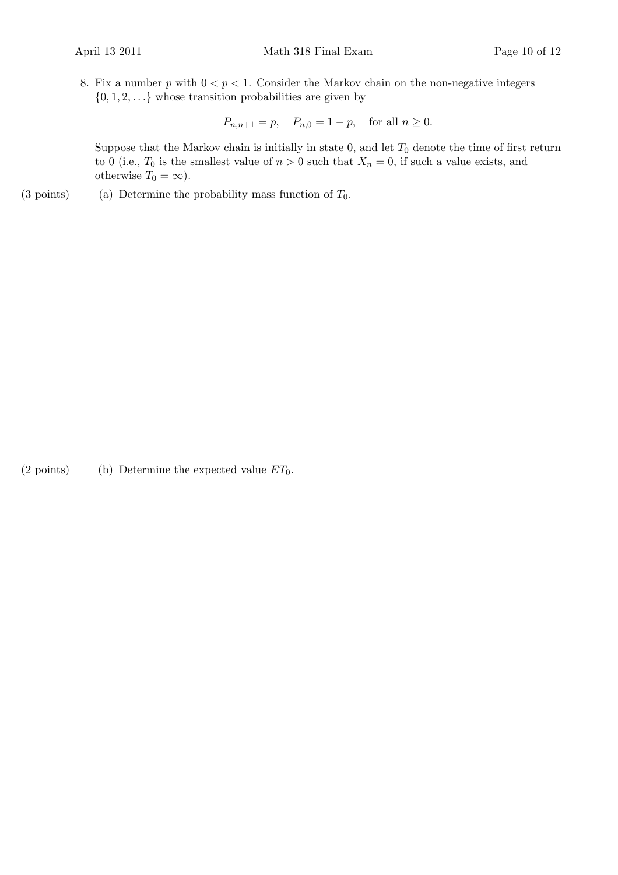8. Fix a number p with  $0 < p < 1$ . Consider the Markov chain on the non-negative integers  $\{0, 1, 2, \ldots\}$  whose transition probabilities are given by

 $P_{n,n+1} = p, \quad P_{n,0} = 1 - p, \quad \text{for all } n \ge 0.$ 

Suppose that the Markov chain is initially in state 0, and let  $T_0$  denote the time of first return to 0 (i.e.,  $T_0$  is the smallest value of  $n > 0$  such that  $X_n = 0$ , if such a value exists, and otherwise  $T_0 = \infty$ ).

(3 points) (a) Determine the probability mass function of  $T_0$ .

(2 points) (b) Determine the expected value  $ET_0$ .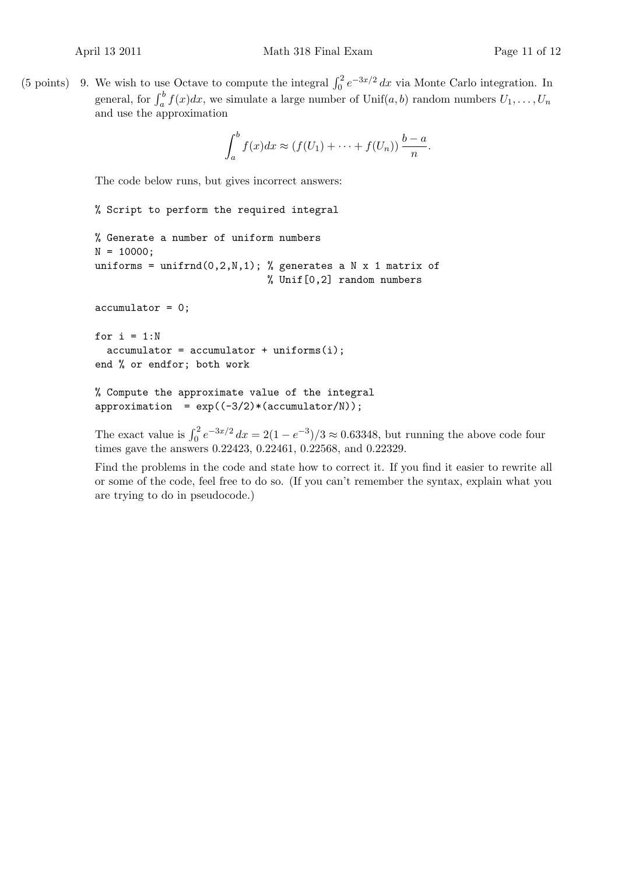(5 points) 9. We wish to use Octave to compute the integral  $\int_0^2 e^{-3x/2} dx$  via Monte Carlo integration. In general, for  $\int_a^b f(x)dx$ , we simulate a large number of Unif(a, b) random numbers  $U_1, \ldots, U_n$ and use the approximation

$$
\int_a^b f(x)dx \approx (f(U_1) + \cdots + f(U_n))\frac{b-a}{n}.
$$

The code below runs, but gives incorrect answers:

```
% Script to perform the required integral
% Generate a number of uniform numbers
N = 10000:
uniforms = unifrnd(0,2,N,1); % generates a N x 1 matrix of
                             % Unif[0,2] random numbers
accumulator = 0;
for i = 1:Naccumulator = accumulator + uniforms(i);end % or endfor; both work
% Compute the approximate value of the integral
approximation = exp((-3/2)*(accumulator/N));
```
The exact value is  $\int_0^2 e^{-3x/2} dx = 2(1 - e^{-3})/3 \approx 0.63348$ , but running the above code four times gave the answers 0.22423, 0.22461, 0.22568, and 0.22329.

Find the problems in the code and state how to correct it. If you find it easier to rewrite all or some of the code, feel free to do so. (If you can't remember the syntax, explain what you are trying to do in pseudocode.)